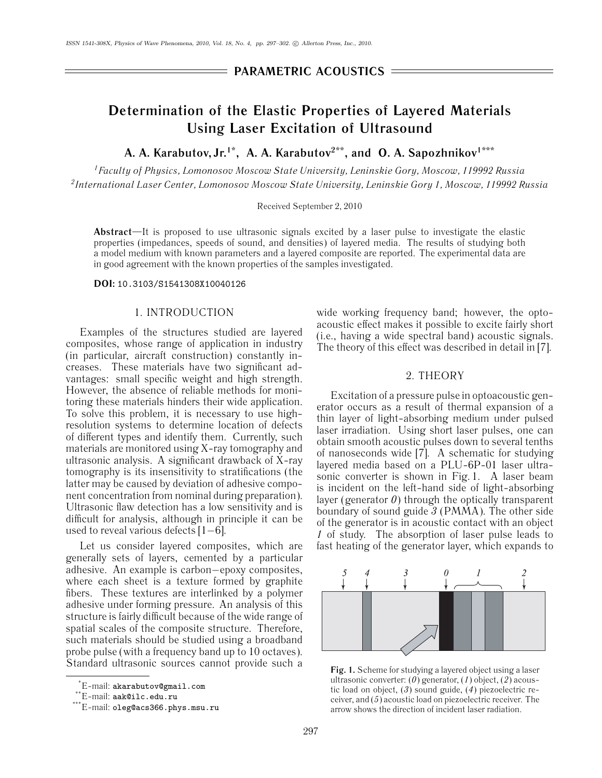## **PARAMETRIC ACOUSTICS**

# **Determination of the Elastic Properties of Layered Materials Using Laser Excitation of Ultrasound**

A. A. Karabutov, Jr.<sup>1\*</sup>, A. A. Karabutov<sup>2\*\*</sup>, and O. A. Sapozhnikov<sup>1\*\*\*</sup>

*1Faculty of Physics, Lomonosov Moscow State University, Leninskie Gory, Moscow, 119992 Russia 2International Laser Center, Lomonosov Moscow State University, Leninskie Gory 1, Moscow, 119992 Russia*

Received September 2, 2010

**Abstract**—It is proposed to use ultrasonic signals excited by a laser pulse to investigate the elastic properties (impedances, speeds of sound, and densities) of layered media. The results of studying both a model medium with known parameters and a layered composite are reported. The experimental data are in good agreement with the known properties of the samples investigated.

## **DOI:** 10.3103/S1541308X10040126

## 1. INTRODUCTION

Examples of the structures studied are layered composites, whose range of application in industry (in particular, aircraft construction) constantly increases. These materials have two significant advantages: small specific weight and high strength. However, the absence of reliable methods for monitoring these materials hinders their wide application. To solve this problem, it is necessary to use highresolution systems to determine location of defects of different types and identify them. Currently, such materials are monitored using X-ray tomography and ultrasonic analysis. A significant drawback of X-ray tomography is its insensitivity to stratifications (the latter may be caused by deviation of adhesive component concentration from nominal during preparation). Ultrasonic flaw detection has a low sensitivity and is difficult for analysis, although in principle it can be used to reveal various defects [1−6].

Let us consider layered composites, which are generally sets of layers, cemented by a particular adhesive. An example is carbon−epoxy composites, where each sheet is a texture formed by graphite fibers. These textures are interlinked by a polymer adhesive under forming pressure. An analysis of this structure is fairly difficult because of the wide range of spatial scales of the composite structure. Therefore, such materials should be studied using a broadband probe pulse (with a frequency band up to 10 octaves). Standard ultrasonic sources cannot provide such a

wide working frequency band; however, the optoacoustic effect makes it possible to excite fairly short (i.e., having a wide spectral band) acoustic signals. The theory of this effect was described in detail in [7].

## 2. THEORY

Excitation of a pressure pulse in optoacoustic generator occurs as a result of thermal expansion of a thin layer of light-absorbing medium under pulsed laser irradiation. Using short laser pulses, one can obtain smooth acoustic pulses down to several tenths of nanoseconds wide  $[7]$ . A schematic for studying layered media based on a PLU-6P-01 laser ultrasonic converter is shown in Fig. 1. A laser beam is incident on the left-hand side of light-absorbing layer (generator *0*) through the optically transparent boundary of sound guide *3* (PMMA). The other side of the generator is in acoustic contact with an object *1* of study. The absorption of laser pulse leads to fast heating of the generator layer, which expands to



**Fig. 1.** Scheme for studying a layered object using a laser ultrasonic converter: (*0*) generator, (*1*) object, (*2*) acoustic load on object, (*3*) sound guide, (*4*) piezoelectric receiver, and (*5*) acoustic load on piezoelectric receiver. The arrow shows the direction of incident laser radiation.

<sup>\*</sup> E-mail: akarabutov@gmail.com

<sup>\*\*</sup>E-mail: aak@ilc.edu.ru

<sup>\*\*\*</sup>E-mail: oleg@acs366.phys.msu.ru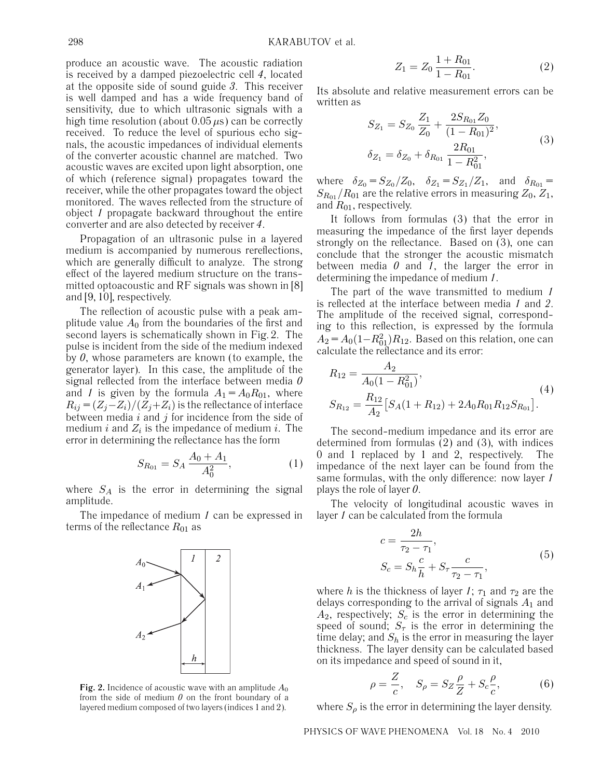produce an acoustic wave. The acoustic radiation is received by a damped piezoelectric cell *4*, located at the opposite side of sound guide *3*. This receiver is well damped and has a wide frequency band of sensitivity, due to which ultrasonic signals with a high time resolution (about  $0.05 \mu s$ ) can be correctly received. To reduce the level of spurious echo signals, the acoustic impedances of individual elements of the converter acoustic channel are matched. Two acoustic waves are excited upon light absorption, one of which (reference signal) propagates toward the receiver, while the other propagates toward the object monitored. The waves reflected from the structure of object *1* propagate backward throughout the entire converter and are also detected by receiver *4*.

Propagation of an ultrasonic pulse in a layered medium is accompanied by numerous rereflections, which are generally difficult to analyze. The strong effect of the layered medium structure on the transmitted optoacoustic and RF signals was shown in [8] and [9, 10], respectively.

The reflection of acoustic pulse with a peak amplitude value  $A_0$  from the boundaries of the first and second layers is schematically shown in Fig. 2. The pulse is incident from the side of the medium indexed by *0*, whose parameters are known (to example, the generator layer). In this case, the amplitude of the signal reflected from the interface between media *0* and *1* is given by the formula  $A_1 = A_0 R_{01}$ , where  $R_{ij} = (Z_i - Z_i)/(Z_i + Z_i)$  is the reflectance of interface between media  $i$  and  $j$  for incidence from the side of medium  $i$  and  $Z_i$  is the impedance of medium  $i$ . The error in determining the reflectance has the form

$$
S_{R_{01}} = S_A \frac{A_0 + A_1}{A_0^2},\tag{1}
$$

where  $S_A$  is the error in determining the signal amplitude.

The impedance of medium *1* can be expressed in terms of the reflectance  $R_{01}$  as



**Fig. 2.** Incidence of acoustic wave with an amplitude  $A_0$ from the side of medium *0* on the front boundary of a layered medium composed of two layers (indices 1 and 2).

$$
Z_1 = Z_0 \frac{1 + R_{01}}{1 - R_{01}}.\t(2)
$$

Its absolute and relative measurement errors can be written as

$$
S_{Z_1} = S_{Z_0} \frac{Z_1}{Z_0} + \frac{2S_{R_{01}} Z_0}{(1 - R_{01})^2},
$$
  
\n
$$
\delta_{Z_1} = \delta_{Z_0} + \delta_{R_{01}} \frac{2R_{01}}{1 - R_{01}^2},
$$
\n(3)

where  $\delta_{Z_0} = S_{Z_0}/Z_0$ ,  $\delta_{Z_1} = S_{Z_1}/Z_1$ , and  $\delta_{R_{01}} =$  $S_{R_{01}}/R_{01}$  are the relative errors in measuring  $Z_0, Z_1,$ and  $R_{01}$ , respectively.

It follows from formulas (3) that the error in measuring the impedance of the first layer depends strongly on the reflectance. Based on (3), one can conclude that the stronger the acoustic mismatch between media *0* and *1*, the larger the error in determining the impedance of medium *1*.

The part of the wave transmitted to medium *1* is reflected at the interface between media *1* and *2*. The amplitude of the received signal, corresponding to this reflection, is expressed by the formula  $A_2 = A_0(1 - R_{01}^2)R_{12}$ . Based on this relation, one can calculate the reflectance and its error:

$$
R_{12} = \frac{A_2}{A_0(1 - R_{01}^2)},
$$
  
\n
$$
S_{R_{12}} = \frac{R_{12}}{A_2} [S_A(1 + R_{12}) + 2A_0 R_{01} R_{12} S_{R_{01}}].
$$
\n(4)

The second-medium impedance and its error are determined from formulas (2) and (3), with indices 0 and 1 replaced by 1 and 2, respectively. The impedance of the next layer can be found from the same formulas, with the only difference: now layer *1* plays the role of layer *0*.

The velocity of longitudinal acoustic waves in layer *1* can be calculated from the formula

$$
c = \frac{2h}{\tau_2 - \tau_1},
$$
  
\n
$$
S_c = S_h \frac{c}{h} + S_\tau \frac{c}{\tau_2 - \tau_1},
$$
\n(5)

where *h* is the thickness of layer *1*;  $\tau_1$  and  $\tau_2$  are the delays corresponding to the arrival of signals  $A_1$  and  $A_2$ , respectively;  $S_c$  is the error in determining the speed of sound;  $S_{\tau}$  is the error in determining the time delay; and  $S_h$  is the error in measuring the layer thickness. The layer density can be calculated based on its impedance and speed of sound in it,

$$
\rho = \frac{Z}{c}, \quad S_{\rho} = S_Z \frac{\rho}{Z} + S_c \frac{\rho}{c}, \tag{6}
$$

where  $S_\rho$  is the error in determining the layer density.

PHYSICS OF WAVE PHENOMENA Vol. 18 No. 4 2010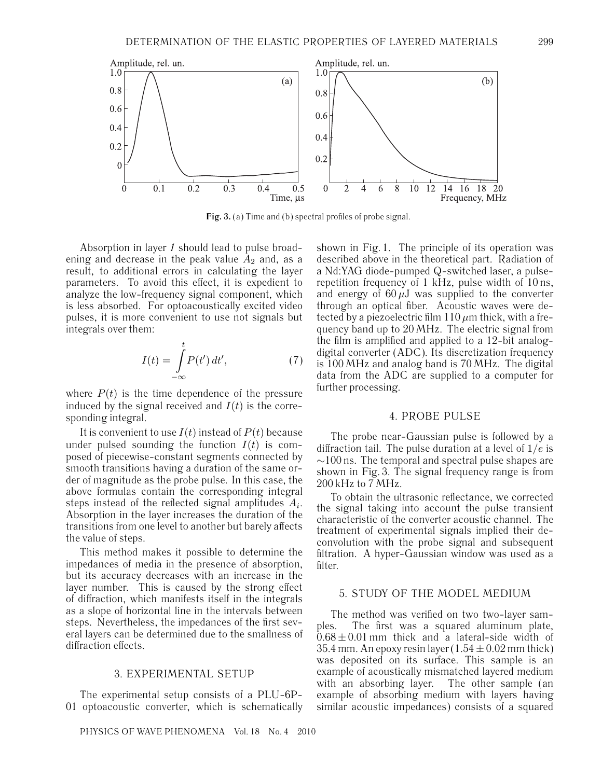



**Fig. 3.** (a) Time and (b) spectral profiles of probe signal.

Absorption in layer *1* should lead to pulse broadening and decrease in the peak value  $A_2$  and, as a result, to additional errors in calculating the layer parameters. To avoid this effect, it is expedient to analyze the low-frequency signal component, which is less absorbed. For optoacoustically excited video pulses, it is more convenient to use not signals but integrals over them:

$$
I(t) = \int_{-\infty}^{t} P(t') dt',
$$
 (7)

where  $P(t)$  is the time dependence of the pressure induced by the signal received and  $I(t)$  is the corresponding integral.

It is convenient to use  $I(t)$  instead of  $P(t)$  because under pulsed sounding the function  $I(t)$  is composed of piecewise-constant segments connected by smooth transitions having a duration of the same order of magnitude as the probe pulse. In this case, the above formulas contain the corresponding integral steps instead of the reflected signal amplitudes  $A_i$ . Absorption in the layer increases the duration of the transitions from one level to another but barely affects the value of steps.

This method makes it possible to determine the impedances of media in the presence of absorption, but its accuracy decreases with an increase in the layer number. This is caused by the strong effect of diffraction, which manifests itself in the integrals as a slope of horizontal line in the intervals between steps. Nevertheless, the impedances of the first several layers can be determined due to the smallness of diffraction effects.

### 3. EXPERIMENTAL SETUP

The experimental setup consists of a PLU-6P-01 optoacoustic converter, which is schematically

PHYSICS OF WAVE PHENOMENA Vol. 18 No. 4 2010

shown in Fig. 1. The principle of its operation was described above in the theoretical part. Radiation of a Nd:YAG diode-pumped Q-switched laser, a pulserepetition frequency of 1 kHz, pulse width of 10 ns, and energy of  $60 \mu J$  was supplied to the converter through an optical fiber. Acoustic waves were detected by a piezoelectric film  $110 \mu m$  thick, with a frequency band up to 20 MHz. The electric signal from the film is amplified and applied to a 12-bit analogdigital converter (ADC). Its discretization frequency is 100 MHz and analog band is 70 MHz. The digital data from the ADC are supplied to a computer for further processing.

## 4. PROBE PULSE

The probe near-Gaussian pulse is followed by a diffraction tail. The pulse duration at a level of  $1/e$  is ∼100 ns. The temporal and spectral pulse shapes are shown in Fig. 3. The signal frequency range is from 200 kHz to 7 MHz.

To obtain the ultrasonic reflectance, we corrected the signal taking into account the pulse transient characteristic of the converter acoustic channel. The treatment of experimental signals implied their deconvolution with the probe signal and subsequent filtration. A hyper-Gaussian window was used as a filter.

## 5. STUDY OF THE MODEL MEDIUM

The method was verified on two two-layer samples. The first was a squared aluminum plate,  $0.68 \pm 0.01$  mm thick and a lateral-side width of 35.4 mm. An epoxy resin layer  $(1.54 \pm 0.02$  mm thick) was deposited on its surface. This sample is an example of acoustically mismatched layered medium with an absorbing layer. The other sample (an example of absorbing medium with layers having similar acoustic impedances) consists of a squared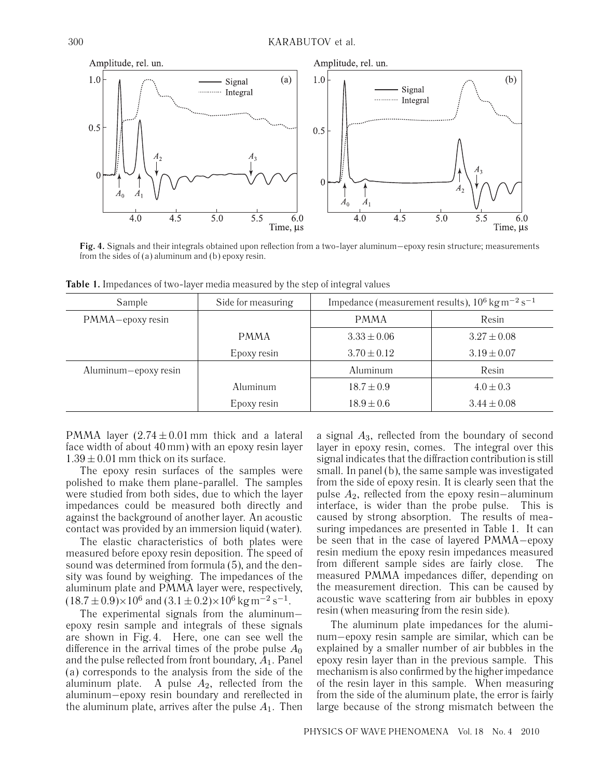

**Fig. 4.** Signals and their integrals obtained upon reflection from a two-layer aluminum−epoxy resin structure; measurements from the sides of (a) aluminum and (b) epoxy resin.

| Sample               | Side for measuring | Impedance (measurement results), $10^6$ kg m <sup>-2</sup> s <sup>-1</sup> |                 |
|----------------------|--------------------|----------------------------------------------------------------------------|-----------------|
| PMMA-epoxy resin     |                    | <b>PMMA</b>                                                                | Resin           |
|                      | <b>PMMA</b>        | $3.33 \pm 0.06$                                                            | $3.27 \pm 0.08$ |
|                      | Epoxy resin        | $3.70 \pm 0.12$                                                            | $3.19 \pm 0.07$ |
| Aluminum-epoxy resin |                    | Aluminum                                                                   | Resin           |
|                      | Aluminum           | $18.7 \pm 0.9$                                                             | $4.0 \pm 0.3$   |
|                      | Epoxy resin        | $18.9 \pm 0.6$                                                             | $3.44 \pm 0.08$ |

**Table 1.** Impedances of two-layer media measured by the step of integral values

PMMA layer  $(2.74 \pm 0.01 \text{ mm}$  thick and a lateral face width of about 40 mm) with an epoxy resin layer  $1.39 \pm 0.01$  mm thick on its surface.

The epoxy resin surfaces of the samples were polished to make them plane-parallel. The samples were studied from both sides, due to which the layer impedances could be measured both directly and against the background of another layer. An acoustic contact was provided by an immersion liquid (water).

The elastic characteristics of both plates were measured before epoxy resin deposition. The speed of sound was determined from formula (5), and the density was found by weighing. The impedances of the aluminum plate and PMMA layer were, respectively,  $(18.7 \pm 0.9) \times 10^6$  and  $(3.1 \pm 0.2) \times 10^6$  kg m<sup>-2</sup> s<sup>-1</sup>.

The experimental signals from the aluminum− epoxy resin sample and integrals of these signals are shown in Fig. 4. Here, one can see well the difference in the arrival times of the probe pulse  $A_0$ and the pulse reflected from front boundary,  $A_1$ . Panel (a) corresponds to the analysis from the side of the aluminum plate. A pulse  $A_2$ , reflected from the aluminum−epoxy resin boundary and rereflected in the aluminum plate, arrives after the pulse  $A_1$ . Then a signal  $A_3$ , reflected from the boundary of second layer in epoxy resin, comes. The integral over this signal indicates that the diffraction contribution is still small. In panel (b), the same sample was investigated from the side of epoxy resin. It is clearly seen that the pulse  $A_2$ , reflected from the epoxy resin−aluminum interface, is wider than the probe pulse. This is caused by strong absorption. The results of measuring impedances are presented in Table 1. It can be seen that in the case of layered PMMA−epoxy resin medium the epoxy resin impedances measured from different sample sides are fairly close. The measured PMMA impedances differ, depending on the measurement direction. This can be caused by acoustic wave scattering from air bubbles in epoxy resin (when measuring from the resin side).

The aluminum plate impedances for the aluminum−epoxy resin sample are similar, which can be explained by a smaller number of air bubbles in the epoxy resin layer than in the previous sample. This mechanism is also confirmed by the higher impedance of the resin layer in this sample. When measuring from the side of the aluminum plate, the error is fairly large because of the strong mismatch between the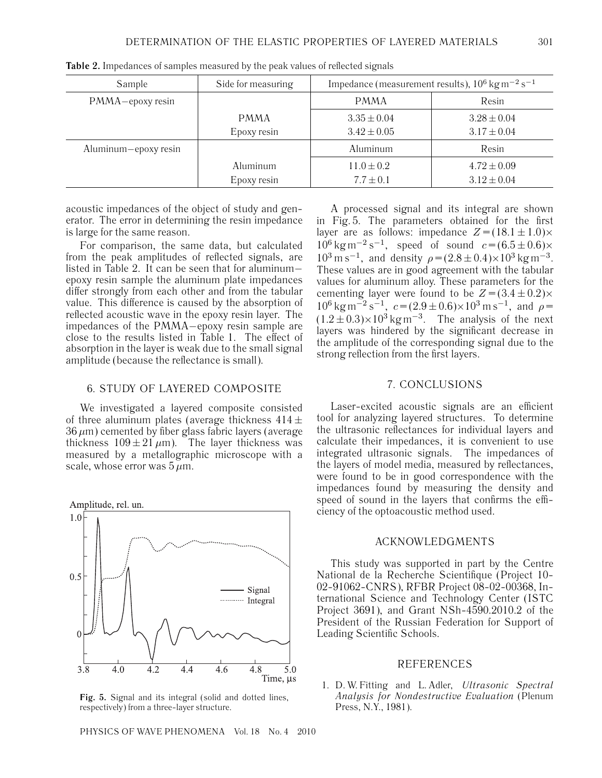| Sample               | Side for measuring | Impedance (measurement results), $10^6$ kg m <sup>-2</sup> s <sup>-1</sup> |                 |
|----------------------|--------------------|----------------------------------------------------------------------------|-----------------|
| PMMA-epoxy resin     |                    | <b>PMMA</b>                                                                | Resin           |
|                      | <b>PMMA</b>        | $3.35 \pm 0.04$                                                            | $3.28 \pm 0.04$ |
|                      | Epoxy resin        | $3.42 \pm 0.05$                                                            | $3.17 \pm 0.04$ |
| Aluminum-epoxy resin |                    | Aluminum                                                                   | Resin           |
|                      | Aluminum           | $11.0 \pm 0.2$                                                             | $4.72 \pm 0.09$ |
|                      | Epoxy resin        | $7.7 \pm 0.1$                                                              | $3.12 \pm 0.04$ |

**Table 2.** Impedances of samples measured by the peak values of reflected signals

acoustic impedances of the object of study and generator. The error in determining the resin impedance is large for the same reason.

For comparison, the same data, but calculated from the peak amplitudes of reflected signals, are listed in Table 2. It can be seen that for aluminum− epoxy resin sample the aluminum plate impedances differ strongly from each other and from the tabular value. This difference is caused by the absorption of reflected acoustic wave in the epoxy resin layer. The impedances of the PMMA−epoxy resin sample are close to the results listed in Table 1. The effect of absorption in the layer is weak due to the small signal amplitude (because the reflectance is small).

## 6. STUDY OF LAYERED COMPOSITE

We investigated a layered composite consisted of three aluminum plates (average thickness  $414 \pm$  $36 \,\mu m$ ) cemented by fiber glass fabric layers (average thickness  $109 \pm 21 \,\mu m$ ). The layer thickness was measured by a metallographic microscope with a scale, whose error was  $5 \mu$ m.



**Fig. 5.** Signal and its integral (solid and dotted lines, respectively) from a three-layer structure.

PHYSICS OF WAVE PHENOMENA Vol. 18 No. 4 2010

A processed signal and its integral are shown in Fig. 5. The parameters obtained for the first layer are as follows: impedance  $Z = (18.1 \pm 1.0) \times$  $10^6$  kg m<sup>-2</sup> s<sup>-1</sup>, speed of sound  $c = (6.5 \pm 0.6) \times$  $10^3 \text{ m s}^{-1}$ , and density  $\rho = (2.8 \pm 0.4) \times 10^3 \text{ kg m}^{-3}$ . These values are in good agreement with the tabular values for aluminum alloy. These parameters for the cementing layer were found to be  $Z = (3.4 \pm 0.2) \times$  $10^6$  kg m<sup>-2</sup> s<sup>-1</sup>,  $c = (2.9 \pm 0.6) \times 10^3$  m s<sup>-1</sup>, and  $\rho =$  $(1.2 \pm 0.3) \times 10^3$  kg m<sup>-3</sup>. The analysis of the next layers was hindered by the significant decrease in the amplitude of the corresponding signal due to the strong reflection from the first layers.

## 7. CONCLUSIONS

Laser-excited acoustic signals are an efficient tool for analyzing layered structures. To determine the ultrasonic reflectances for individual layers and calculate their impedances, it is convenient to use integrated ultrasonic signals. The impedances of the layers of model media, measured by reflectances, were found to be in good correspondence with the impedances found by measuring the density and speed of sound in the layers that confirms the efficiency of the optoacoustic method used.

### ACKNOWLEDGMENTS

This study was supported in part by the Centre National de la Recherche Scientifique (Project 10- 02-91062-CNRS), RFBR Project 08-02-00368, International Science and Technology Center (ISTC Project 3691), and Grant NSh-4590.2010.2 of the President of the Russian Federation for Support of Leading Scientific Schools.

### REFERENCES

1. D. W. Fitting and L. Adler, *Ultrasonic Spectral Analysis for Nondestructive Evaluation* (Plenum Press, N.Y., 1981).